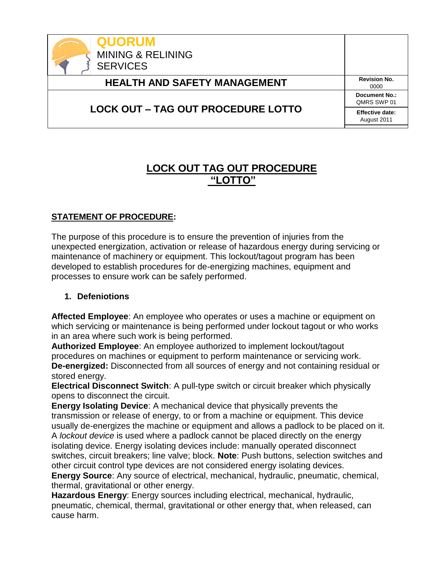

# **LOCK OUT TAG OUT PROCEDURE "LOTTO"**

# **STATEMENT OF PROCEDURE:**

The purpose of this procedure is to ensure the prevention of injuries from the unexpected energization, activation or release of hazardous energy during servicing or maintenance of machinery or equipment. This lockout/tagout program has been developed to establish procedures for de-energizing machines, equipment and processes to ensure work can be safely performed.

#### **1. Defeniotions**

**Affected Employee**: An employee who operates or uses a machine or equipment on which servicing or maintenance is being performed under lockout tagout or who works in an area where such work is being performed.

**Authorized Employee**: An employee authorized to implement lockout/tagout procedures on machines or equipment to perform maintenance or servicing work. **De-energized:** Disconnected from all sources of energy and not containing residual or stored energy.

**Electrical Disconnect Switch**: A pull-type switch or circuit breaker which physically opens to disconnect the circuit.

**Energy Isolating Device**: A mechanical device that physically prevents the transmission or release of energy, to or from a machine or equipment. This device usually de-energizes the machine or equipment and allows a padlock to be placed on it. A *lockout device* is used where a padlock cannot be placed directly on the energy isolating device. Energy isolating devices include: manually operated disconnect switches, circuit breakers; line valve; block. **Note**: Push buttons, selection switches and other circuit control type devices are not considered energy isolating devices.

**Energy Source**: Any source of electrical, mechanical, hydraulic, pneumatic, chemical, thermal, gravitational or other energy.

**Hazardous Energy**: Energy sources including electrical, mechanical, hydraulic, pneumatic, chemical, thermal, gravitational or other energy that, when released, can cause harm.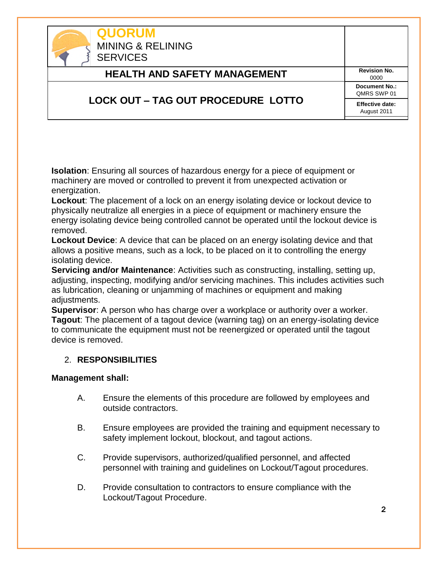| <b>QUORUM</b><br><b>MINING &amp; RELINING</b><br><b>SERVICES</b> |                                       |
|------------------------------------------------------------------|---------------------------------------|
| <b>HEALTH AND SAFETY MANAGEMENT</b>                              | <b>Revision No.</b><br>0000           |
|                                                                  | <b>Document No.:</b><br>QMRS SWP 01   |
| <b>LOCK OUT – TAG OUT PROCEDURE LOTTO</b>                        | <b>Effective date:</b><br>August 2011 |

**Isolation**: Ensuring all sources of hazardous energy for a piece of equipment or machinery are moved or controlled to prevent it from unexpected activation or energization.

**Lockout**: The placement of a lock on an energy isolating device or lockout device to physically neutralize all energies in a piece of equipment or machinery ensure the energy isolating device being controlled cannot be operated until the lockout device is removed.

**Lockout Device**: A device that can be placed on an energy isolating device and that allows a positive means, such as a lock, to be placed on it to controlling the energy isolating device.

**Servicing and/or Maintenance**: Activities such as constructing, installing, setting up, adjusting, inspecting, modifying and/or servicing machines. This includes activities such as lubrication, cleaning or unjamming of machines or equipment and making adjustments.

**Supervisor**: A person who has charge over a workplace or authority over a worker. **Tagout**: The placement of a tagout device (warning tag) on an energy-isolating device to communicate the equipment must not be reenergized or operated until the tagout device is removed.

## 2. **RESPONSIBILITIES**

#### **Management shall:**

- A. Ensure the elements of this procedure are followed by employees and outside contractors.
- B. Ensure employees are provided the training and equipment necessary to safety implement lockout, blockout, and tagout actions.
- C. Provide supervisors, authorized/qualified personnel, and affected personnel with training and guidelines on Lockout/Tagout procedures.
- D. Provide consultation to contractors to ensure compliance with the Lockout/Tagout Procedure.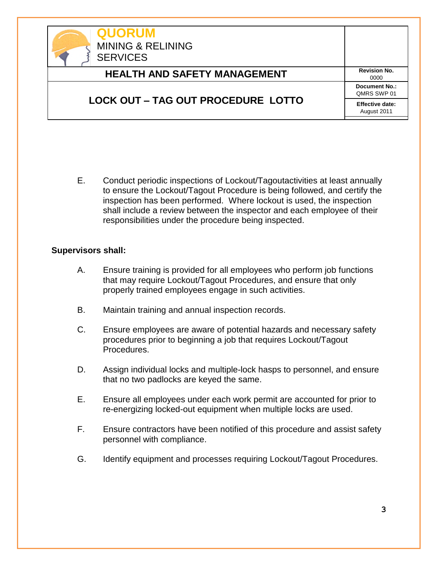| <b>QUORUM</b><br><b>MINING &amp; RELINING</b><br><b>SERVICES</b> |                                       |
|------------------------------------------------------------------|---------------------------------------|
| <b>HEALTH AND SAFETY MANAGEMENT</b>                              | <b>Revision No.</b><br>0000           |
|                                                                  | <b>Document No.:</b><br>QMRS SWP 01   |
| <b>LOCK OUT - TAG OUT PROCEDURE LOTTO</b>                        | <b>Effective date:</b><br>August 2011 |

E. Conduct periodic inspections of Lockout/Tagoutactivities at least annually to ensure the Lockout/Tagout Procedure is being followed, and certify the inspection has been performed. Where lockout is used, the inspection shall include a review between the inspector and each employee of their responsibilities under the procedure being inspected.

#### **Supervisors shall:**

- A. Ensure training is provided for all employees who perform job functions that may require Lockout/Tagout Procedures, and ensure that only properly trained employees engage in such activities.
- B. Maintain training and annual inspection records.
- C. Ensure employees are aware of potential hazards and necessary safety procedures prior to beginning a job that requires Lockout/Tagout Procedures.
- D. Assign individual locks and multiple-lock hasps to personnel, and ensure that no two padlocks are keyed the same.
- E. Ensure all employees under each work permit are accounted for prior to re-energizing locked-out equipment when multiple locks are used.
- F. Ensure contractors have been notified of this procedure and assist safety personnel with compliance.
- G. Identify equipment and processes requiring Lockout/Tagout Procedures.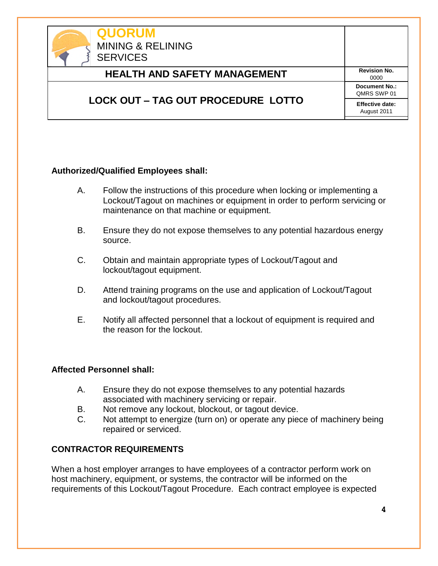

#### **Authorized/Qualified Employees shall:**

- A. Follow the instructions of this procedure when locking or implementing a Lockout/Tagout on machines or equipment in order to perform servicing or maintenance on that machine or equipment.
- B. Ensure they do not expose themselves to any potential hazardous energy source.
- C. Obtain and maintain appropriate types of Lockout/Tagout and lockout/tagout equipment.
- D. Attend training programs on the use and application of Lockout/Tagout and lockout/tagout procedures.
- E. Notify all affected personnel that a lockout of equipment is required and the reason for the lockout.

#### **Affected Personnel shall:**

- A. Ensure they do not expose themselves to any potential hazards associated with machinery servicing or repair.
- B. Not remove any lockout, blockout, or tagout device.
- C. Not attempt to energize (turn on) or operate any piece of machinery being repaired or serviced.

#### **CONTRACTOR REQUIREMENTS**

When a host employer arranges to have employees of a contractor perform work on host machinery, equipment, or systems, the contractor will be informed on the requirements of this Lockout/Tagout Procedure. Each contract employee is expected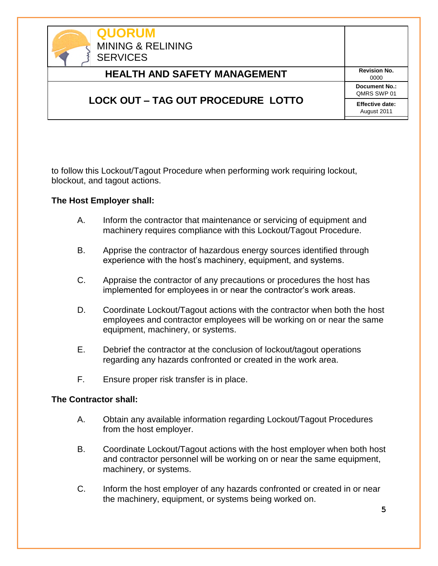| <b>QUORUM</b><br><b>MINING &amp; RELINING</b><br><b>SERVICES</b> |                                       |
|------------------------------------------------------------------|---------------------------------------|
| <b>HEALTH AND SAFETY MANAGEMENT</b>                              | <b>Revision No.</b><br>0000           |
|                                                                  | <b>Document No.:</b><br>QMRS SWP 01   |
| <b>LOCK OUT – TAG OUT PROCEDURE LOTTO</b>                        | <b>Effective date:</b><br>August 2011 |

to follow this Lockout/Tagout Procedure when performing work requiring lockout, blockout, and tagout actions.

#### **The Host Employer shall:**

- A. Inform the contractor that maintenance or servicing of equipment and machinery requires compliance with this Lockout/Tagout Procedure.
- B. Apprise the contractor of hazardous energy sources identified through experience with the host's machinery, equipment, and systems.
- C. Appraise the contractor of any precautions or procedures the host has implemented for employees in or near the contractor's work areas.
- D. Coordinate Lockout/Tagout actions with the contractor when both the host employees and contractor employees will be working on or near the same equipment, machinery, or systems.
- E. Debrief the contractor at the conclusion of lockout/tagout operations regarding any hazards confronted or created in the work area.
- F. Ensure proper risk transfer is in place.

#### **The Contractor shall:**

- A. Obtain any available information regarding Lockout/Tagout Procedures from the host employer.
- B. Coordinate Lockout/Tagout actions with the host employer when both host and contractor personnel will be working on or near the same equipment, machinery, or systems.
- C. Inform the host employer of any hazards confronted or created in or near the machinery, equipment, or systems being worked on.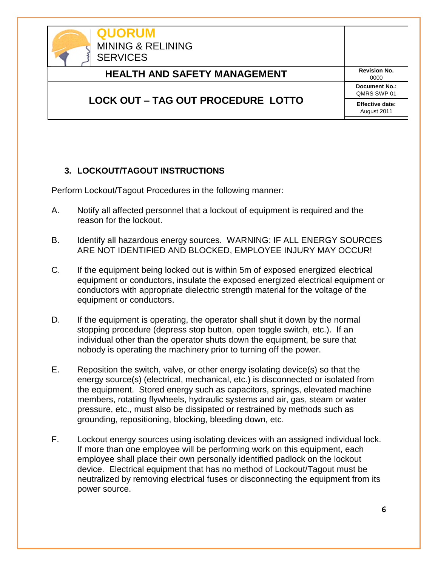

# **3. LOCKOUT/TAGOUT INSTRUCTIONS**

Perform Lockout/Tagout Procedures in the following manner:

- A. Notify all affected personnel that a lockout of equipment is required and the reason for the lockout.
- B. Identify all hazardous energy sources. WARNING: IF ALL ENERGY SOURCES ARE NOT IDENTIFIED AND BLOCKED, EMPLOYEE INJURY MAY OCCUR!
- C. If the equipment being locked out is within 5m of exposed energized electrical equipment or conductors, insulate the exposed energized electrical equipment or conductors with appropriate dielectric strength material for the voltage of the equipment or conductors.
- D. If the equipment is operating, the operator shall shut it down by the normal stopping procedure (depress stop button, open toggle switch, etc.). If an individual other than the operator shuts down the equipment, be sure that nobody is operating the machinery prior to turning off the power.
- E. Reposition the switch, valve, or other energy isolating device(s) so that the energy source(s) (electrical, mechanical, etc.) is disconnected or isolated from the equipment. Stored energy such as capacitors, springs, elevated machine members, rotating flywheels, hydraulic systems and air, gas, steam or water pressure, etc., must also be dissipated or restrained by methods such as grounding, repositioning, blocking, bleeding down, etc.
- F. Lockout energy sources using isolating devices with an assigned individual lock. If more than one employee will be performing work on this equipment, each employee shall place their own personally identified padlock on the lockout device. Electrical equipment that has no method of Lockout/Tagout must be neutralized by removing electrical fuses or disconnecting the equipment from its power source.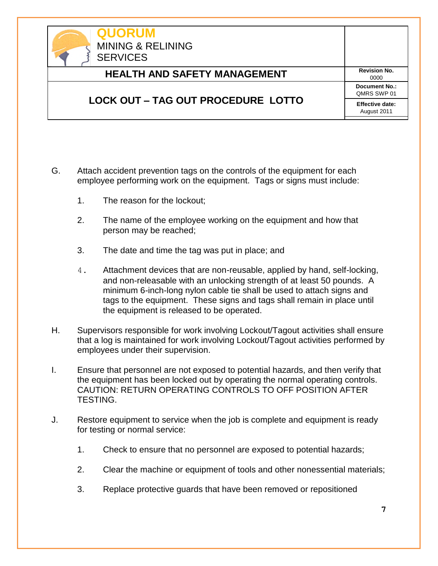| <b>QUORUM</b><br><b>MINING &amp; RELINING</b><br><b>SERVICES</b> |                                       |
|------------------------------------------------------------------|---------------------------------------|
| <b>HEALTH AND SAFETY MANAGEMENT</b>                              | <b>Revision No.</b><br>0000           |
|                                                                  | Document No.:<br>OMRS SWP 01          |
| <b>LOCK OUT – TAG OUT PROCEDURE LOTTO</b>                        | <b>Effective date:</b><br>August 2011 |

- G. Attach accident prevention tags on the controls of the equipment for each employee performing work on the equipment. Tags or signs must include:
	- 1. The reason for the lockout;
	- 2. The name of the employee working on the equipment and how that person may be reached;
	- 3. The date and time the tag was put in place; and
	- 4. Attachment devices that are non-reusable, applied by hand, self-locking, and non-releasable with an unlocking strength of at least 50 pounds. A minimum 6-inch-long nylon cable tie shall be used to attach signs and tags to the equipment. These signs and tags shall remain in place until the equipment is released to be operated.
- H. Supervisors responsible for work involving Lockout/Tagout activities shall ensure that a log is maintained for work involving Lockout/Tagout activities performed by employees under their supervision.
- I. Ensure that personnel are not exposed to potential hazards, and then verify that the equipment has been locked out by operating the normal operating controls. CAUTION: RETURN OPERATING CONTROLS TO OFF POSITION AFTER TESTING.
- J. Restore equipment to service when the job is complete and equipment is ready for testing or normal service:
	- 1. Check to ensure that no personnel are exposed to potential hazards;
	- 2. Clear the machine or equipment of tools and other nonessential materials;
	- 3. Replace protective guards that have been removed or repositioned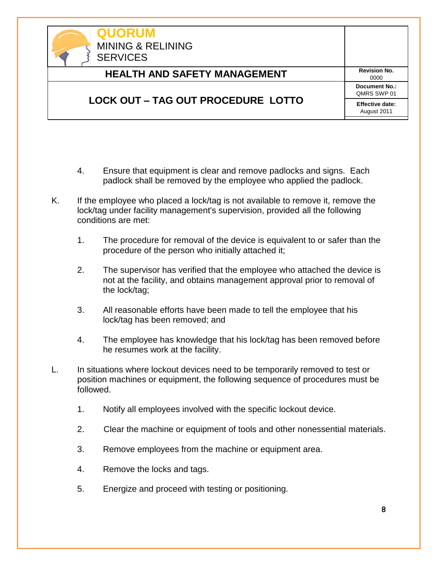| <b>QUORUM</b><br><b>MINING &amp; RELINING</b><br><b>SERVICES</b> |                                       |
|------------------------------------------------------------------|---------------------------------------|
| <b>HEALTH AND SAFETY MANAGEMENT</b>                              | <b>Revision No.</b><br>0000           |
|                                                                  | <b>Document No.:</b><br>QMRS SWP 01   |
| <b>LOCK OUT – TAG OUT PROCEDURE LOTTO</b>                        | <b>Effective date:</b><br>August 2011 |

- 4. Ensure that equipment is clear and remove padlocks and signs. Each padlock shall be removed by the employee who applied the padlock.
- K. If the employee who placed a lock/tag is not available to remove it, remove the lock/tag under facility management's supervision, provided all the following conditions are met:
	- 1. The procedure for removal of the device is equivalent to or safer than the procedure of the person who initially attached it;
	- 2. The supervisor has verified that the employee who attached the device is not at the facility, and obtains management approval prior to removal of the lock/tag;
	- 3. All reasonable efforts have been made to tell the employee that his lock/tag has been removed; and
	- 4. The employee has knowledge that his lock/tag has been removed before he resumes work at the facility.
- L. In situations where lockout devices need to be temporarily removed to test or position machines or equipment, the following sequence of procedures must be followed.
	- 1. Notify all employees involved with the specific lockout device.
	- 2. Clear the machine or equipment of tools and other nonessential materials.
	- 3. Remove employees from the machine or equipment area.
	- 4. Remove the locks and tags.
	- 5. Energize and proceed with testing or positioning.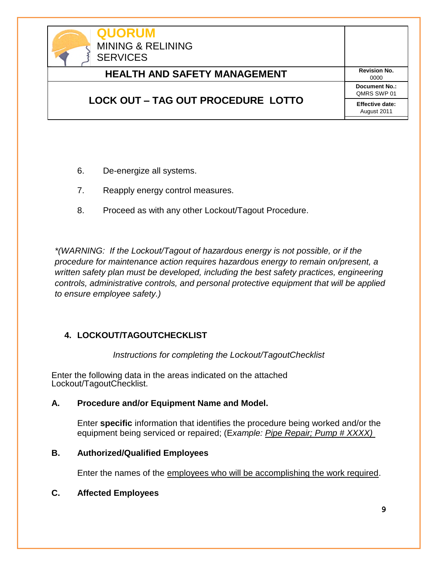

- 6. De-energize all systems.
- 7. Reapply energy control measures.
- 8. Proceed as with any other Lockout/Tagout Procedure.

*\*(WARNING: If the Lockout/Tagout of hazardous energy is not possible, or if the procedure for maintenance action requires hazardous energy to remain on/present, a written safety plan must be developed, including the best safety practices, engineering controls, administrative controls, and personal protective equipment that will be applied to ensure employee safety.)*

## **4. LOCKOUT/TAGOUTCHECKLIST**

*Instructions for completing the Lockout/TagoutChecklist* 

Enter the following data in the areas indicated on the attached Lockout/TagoutChecklist.

#### **A. Procedure and/or Equipment Name and Model.**

Enter **specific** information that identifies the procedure being worked and/or the equipment being serviced or repaired; (E*xample: Pipe Repair; Pump # XXXX)* 

#### **B. Authorized/Qualified Employees**

Enter the names of the employees who will be accomplishing the work required.

#### **C. Affected Employees**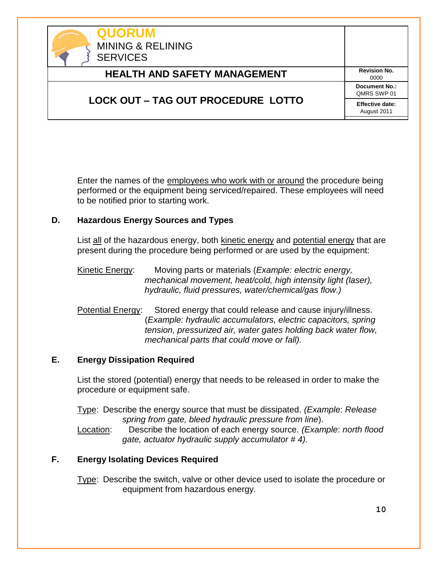| <b>QUORUM</b><br><b>MINING &amp; RELINING</b><br><b>SERVICES</b> |                                       |
|------------------------------------------------------------------|---------------------------------------|
| <b>HEALTH AND SAFETY MANAGEMENT</b>                              | <b>Revision No.</b><br>0000           |
|                                                                  | Document No.:<br>QMRS SWP 01          |
| <b>LOCK OUT – TAG OUT PROCEDURE LOTTO</b>                        | <b>Effective date:</b><br>August 2011 |

Enter the names of the employees who work with or around the procedure being performed or the equipment being serviced/repaired. These employees will need to be notified prior to starting work.

#### **D. Hazardous Energy Sources and Types**

List all of the hazardous energy, both kinetic energy and potential energy that are present during the procedure being performed or are used by the equipment:

- Kinetic Energy: Moving parts or materials (*Example: electric energy, mechanical movement, heat/cold, high intensity light (laser), hydraulic, fluid pressures, water/chemical/gas flow.)*
- Potential Energy: Stored energy that could release and cause injury/illness. (*Example: hydraulic accumulators, electric capacitors, spring tension, pressurized air, water gates holding back water flow, mechanical parts that could move or fall).*

#### **E. Energy Dissipation Required**

List the stored (potential) energy that needs to be released in order to make the procedure or equipment safe.

Type: Describe the energy source that must be dissipated. *(Example*: *Release spring from gate, bleed hydraulic pressure from line*).

Location: Describe the location of each energy source. *(Example*: *north flood gate, actuator hydraulic supply accumulator # 4).*

## **F. Energy Isolating Devices Required**

Type: Describe the switch, valve or other device used to isolate the procedure or equipment from hazardous energy.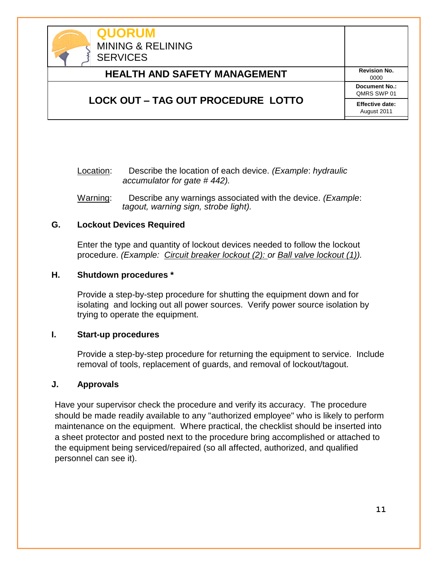

Location: Describe the location of each device. *(Example*: *hydraulic accumulator for gate # 442).*

Warning: Describe any warnings associated with the device. *(Example*: *tagout, warning sign, strobe light).*

#### **G. Lockout Devices Required**

Enter the type and quantity of lockout devices needed to follow the lockout procedure. *(Example: Circuit breaker lockout (2): or Ball valve lockout (1)).*

#### **H. Shutdown procedures \***

Provide a step-by-step procedure for shutting the equipment down and for isolating and locking out all power sources. Verify power source isolation by trying to operate the equipment.

#### **I. Start-up procedures**

Provide a step-by-step procedure for returning the equipment to service. Include removal of tools, replacement of guards, and removal of lockout/tagout.

#### **J. Approvals**

Have your supervisor check the procedure and verify its accuracy. The procedure should be made readily available to any "authorized employee" who is likely to perform maintenance on the equipment. Where practical, the checklist should be inserted into a sheet protector and posted next to the procedure bring accomplished or attached to the equipment being serviced/repaired (so all affected, authorized, and qualified personnel can see it).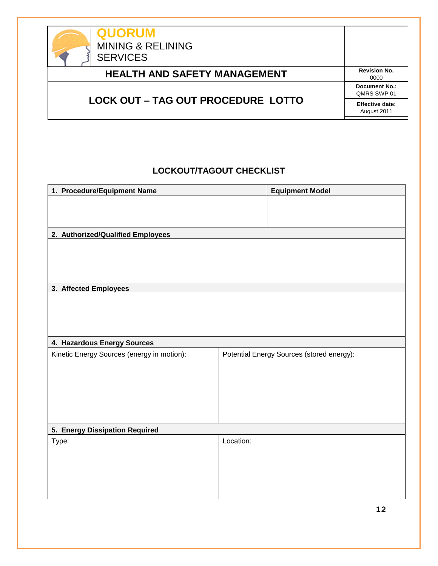| <b>QUORUM</b><br><b>MINING &amp; RELINING</b><br><b>SERVICES</b> |                                       |
|------------------------------------------------------------------|---------------------------------------|
| <b>HEALTH AND SAFETY MANAGEMENT</b>                              | <b>Revision No.</b><br>0000           |
|                                                                  | <b>Document No.:</b><br>QMRS SWP 01   |
| <b>LOCK OUT – TAG OUT PROCEDURE LOTTO</b>                        | <b>Effective date:</b><br>August 2011 |

# **LOCKOUT/TAGOUT CHECKLIST**

| 1. Procedure/Equipment Name                |           | <b>Equipment Model</b>                    |
|--------------------------------------------|-----------|-------------------------------------------|
|                                            |           |                                           |
|                                            |           |                                           |
| 2. Authorized/Qualified Employees          |           |                                           |
|                                            |           |                                           |
|                                            |           |                                           |
|                                            |           |                                           |
| 3. Affected Employees                      |           |                                           |
|                                            |           |                                           |
|                                            |           |                                           |
|                                            |           |                                           |
| 4. Hazardous Energy Sources                |           |                                           |
| Kinetic Energy Sources (energy in motion): |           | Potential Energy Sources (stored energy): |
|                                            |           |                                           |
|                                            |           |                                           |
|                                            |           |                                           |
|                                            |           |                                           |
| 5. Energy Dissipation Required             |           |                                           |
| Type:                                      | Location: |                                           |
|                                            |           |                                           |
|                                            |           |                                           |
|                                            |           |                                           |
|                                            |           |                                           |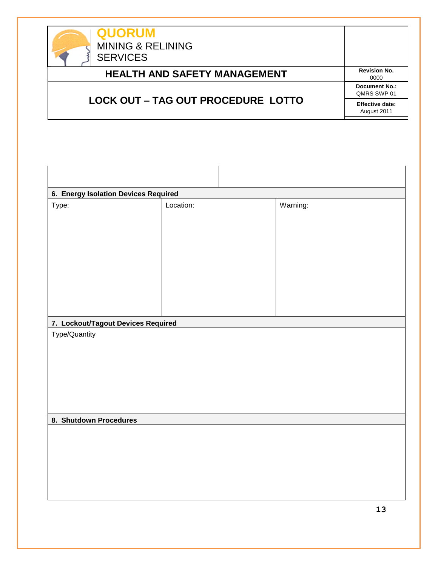| <b>QUORUM</b><br><b>MINING &amp; RELINING</b><br><b>SERVICES</b> |                                       |
|------------------------------------------------------------------|---------------------------------------|
| <b>HEALTH AND SAFETY MANAGEMENT</b>                              | <b>Revision No.</b><br>0000           |
|                                                                  | <b>Document No.:</b><br>OMRS SWP 01   |
| <b>LOCK OUT – TAG OUT PROCEDURE LOTTO</b>                        | <b>Effective date:</b><br>August 2011 |

| 6. Energy Isolation Devices Required                |           |          |  |
|-----------------------------------------------------|-----------|----------|--|
| Type:                                               | Location: | Warning: |  |
| 7. Lockout/Tagout Devices Required<br>Type/Quantity |           |          |  |
| 8. Shutdown Procedures                              |           |          |  |
|                                                     |           |          |  |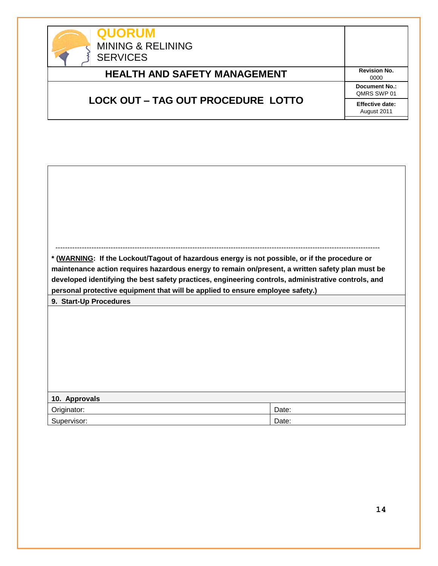

| <b>QUORUM</b><br><b>MINING &amp; RELINING</b><br><b>SERVICES</b> |                                       |  |
|------------------------------------------------------------------|---------------------------------------|--|
| <b>HEALTH AND SAFETY MANAGEMENT</b>                              | <b>Revision No.</b><br>0000           |  |
|                                                                  | <b>Document No.:</b><br>QMRS SWP 01   |  |
| <b>LOCK OUT – TAG OUT PROCEDURE LOTTO</b>                        | <b>Effective date:</b><br>August 2011 |  |

|                                                                                | * (WARNING: If the Lockout/Tagout of hazardous energy is not possible, or if the procedure or       |
|--------------------------------------------------------------------------------|-----------------------------------------------------------------------------------------------------|
|                                                                                | maintenance action requires hazardous energy to remain on/present, a written safety plan must be    |
|                                                                                | developed identifying the best safety practices, engineering controls, administrative controls, and |
| personal protective equipment that will be applied to ensure employee safety.) |                                                                                                     |
| 9. Start-Up Procedures                                                         |                                                                                                     |
|                                                                                |                                                                                                     |
|                                                                                |                                                                                                     |
|                                                                                |                                                                                                     |
|                                                                                |                                                                                                     |
|                                                                                |                                                                                                     |
|                                                                                |                                                                                                     |
|                                                                                |                                                                                                     |
|                                                                                |                                                                                                     |
| 10. Approvals                                                                  |                                                                                                     |
| Originator:                                                                    | Date:                                                                                               |
| Supervisor:                                                                    | Date:                                                                                               |